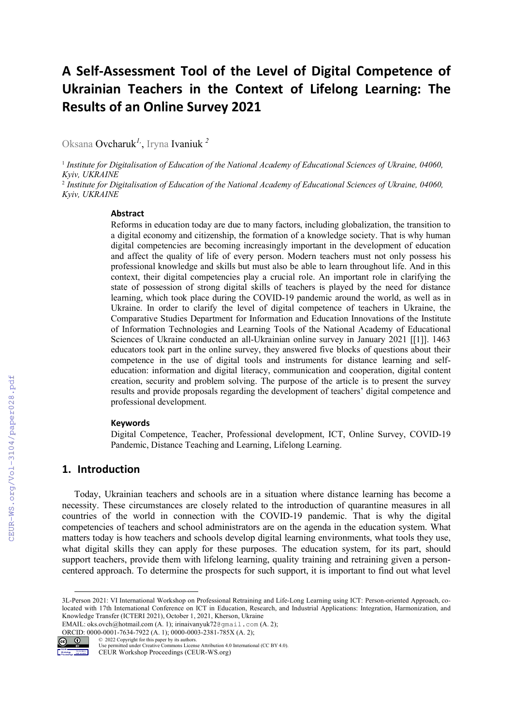# A Self-Assessment Tool of the Level of Digital Competence of Ukrainian Teachers in the Context of Lifelong Learning: The Results of an Online Survey 2021

Oksana Ovcharuk*1,*, Iryna Ivaniuk *<sup>2</sup>*

<sup>1</sup> *Institute for Digitalisation of Education of the National Academy of Educational Sciences of Ukraine, 04060, Kyiv, UKRAINE* 

2  *Institute for Digitalisation of Education of the National Academy of Educational Sciences of Ukraine, 04060, Kyiv, UKRAINE* 

#### Abstract

Reforms in education today are due to many factors, including globalization, the transition to a digital economy and citizenship, the formation of a knowledge society. That is why human digital competencies are becoming increasingly important in the development of education and affect the quality of life of every person. Modern teachers must not only possess his professional knowledge and skills but must also be able to learn throughout life. And in this context, their digital competencies play a crucial role. An important role in clarifying the state of possession of strong digital skills of teachers is played by the need for distance learning, which took place during the COVID-19 pandemic around the world, as well as in Ukraine. In order to clarify the level of digital competence of teachers in Ukraine, the Comparative Studies Department for Information and Education Innovations of the Institute of Information Technologies and Learning Tools of the National Academy of Educational Sciences of Ukraine conducted an all-Ukrainian online survey in January 2021 [[1]]. 1463 educators took part in the online survey, they answered five blocks of questions about their competence in the use of digital tools and instruments for distance learning and selfeducation: information and digital literacy, communication and cooperation, digital content creation, security and problem solving. The purpose of the article is to present the survey results and provide proposals regarding the development of teachers' digital competence and professional development.

#### **Keywords**

Digital Competence, Teacher, Professional development, ICT, Online Survey, COVID-19 Pandemic, Distance Teaching and Learning, Lifelong Learning.

## 1. Introduction

Today, Ukrainian teachers and schools are in a situation where distance learning has become a necessity. These circumstances are closely related to the introduction of quarantine measures in all countries of the world in connection with the COVID-19 pandemic. That is why the digital competencies of teachers and school administrators are on the agenda in the education system. What matters today is how teachers and schools develop digital learning environments, what tools they use, what digital skills they can apply for these purposes. The education system, for its part, should support teachers, provide them with lifelong learning, quality training and retraining given a personcentered approach. To determine the prospects for such support, it is important to find out what level

EMAIL: oks.ovch@hotmail.com (A. 1); irinaivanyuk72@gmail.com (A. 2); ORCID: 0000-0001-7634-7922 (A. 1); 0000-0003-2381-785X (A. 2);



Use permitted under Creative Commons License Attribution 4.0 International (CC BY 4.0).

CEUR Workshop Proceedings (CEUR-WS.org)

© 2022 Copyright for this paper by its authors.

<sup>3</sup>L-Person 2021: VI International Workshop on Professional Retraining and Life-Long Learning using ICT: Person-oriented Approach, colocated with 17th International Conference on ICT in Education, Research, and Industrial Applications: Integration, Harmonization, and Knowledge Transfer (ICTERI 2021), October 1, 2021, Kherson, Ukraine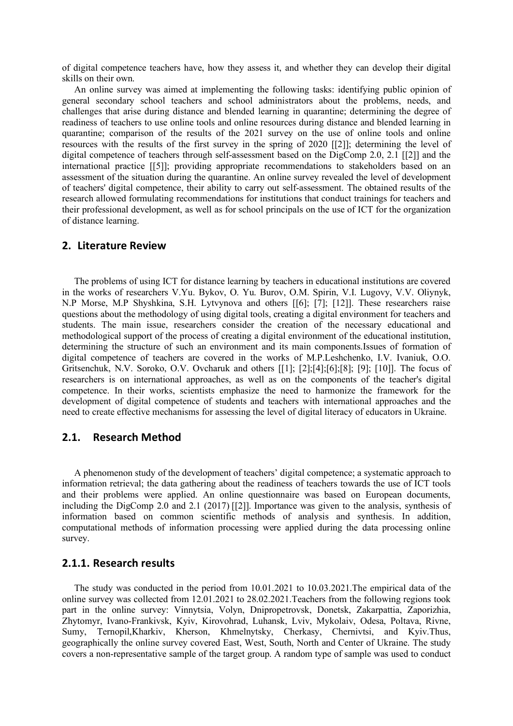of digital competence teachers have, how they assess it, and whether they can develop their digital skills on their own.

An online survey was aimed at implementing the following tasks: identifying public opinion of general secondary school teachers and school administrators about the problems, needs, and challenges that arise during distance and blended learning in quarantine; determining the degree of readiness of teachers to use online tools and online resources during distance and blended learning in quarantine; comparison of the results of the 2021 survey on the use of online tools and online resources with the results of the first survey in the spring of 2020 [[2]]; determining the level of digital competence of teachers through self-assessment based on the DigComp 2.0, 2.1 [[2]] and the international practice [[5]]; providing appropriate recommendations to stakeholders based on an assessment of the situation during the quarantine. An online survey revealed the level of development of teachers' digital competence, their ability to carry out self-assessment. The obtained results of the research allowed formulating recommendations for institutions that conduct trainings for teachers and their professional development, as well as for school principals on the use of ICT for the organization of distance learning.

#### 2. Literature Review

The problems of using ICT for distance learning by teachers in educational institutions are covered in the works of researchers V.Yu. Bykov, O. Yu. Burov, О.М. Spirin, V.I. Lugovy, V.V. Oliynyk, N.P Morse, M.P Shyshkina, S.H. Lytvynova and others [[6]; [7]; [12]]. These researchers raise questions about the methodology of using digital tools, creating a digital environment for teachers and students. The main issue, researchers consider the creation of the necessary educational and methodological support of the process of creating a digital environment of the educational institution, determining the structure of such an environment and its main components.Issues of formation of digital competence of teachers are covered in the works of M.P.Leshchenko, I.V. Ivaniuk, O.O. Gritsenchuk, N.V. Soroko, O.V. Ovcharuk and others [[1]; [2];[4];[6];[8]; [9]; [10]]. The focus of researchers is on international approaches, as well as on the components of the teacher's digital competence. In their works, scientists emphasize the need to harmonize the framework for the development of digital competence of students and teachers with international approaches and the need to create effective mechanisms for assessing the level of digital literacy of educators in Ukraine.

### 2.1. Research Method

A phenomenon study of the development of teachers' digital competence; a systematic approach to information retrieval; the data gathering about the readiness of teachers towards the use of ICT tools and their problems were applied. An online questionnaire was based on European documents, including the DigComp 2.0 and 2.1 (2017) [[2]]. Importance was given to the analysis, synthesis of information based on common scientific methods of analysis and synthesis. In addition, computational methods of information processing were applied during the data processing online survey.

#### 2.1.1. Research results

The study was conducted in the period from 10.01.2021 to 10.03.2021.The empirical data of the online survey was collected from 12.01.2021 to 28.02.2021.Teachers from the following regions took part in the online survey: Vinnytsia, Volyn, Dnipropetrovsk, Donetsk, Zakarpattia, Zaporizhia, Zhytomyr, Ivano-Frankivsk, Kyiv, Kirovohrad, Luhansk, Lviv, Mykolaiv, Odesa, Poltava, Rivne, Sumy, Ternopil,Kharkiv, Kherson, Khmelnytsky, Cherkasy, Chernivtsi, and Kyiv.Thus, geographically the online survey covered East, West, South, North and Center of Ukraine. The study covers a non-representative sample of the target group. A random type of sample was used to conduct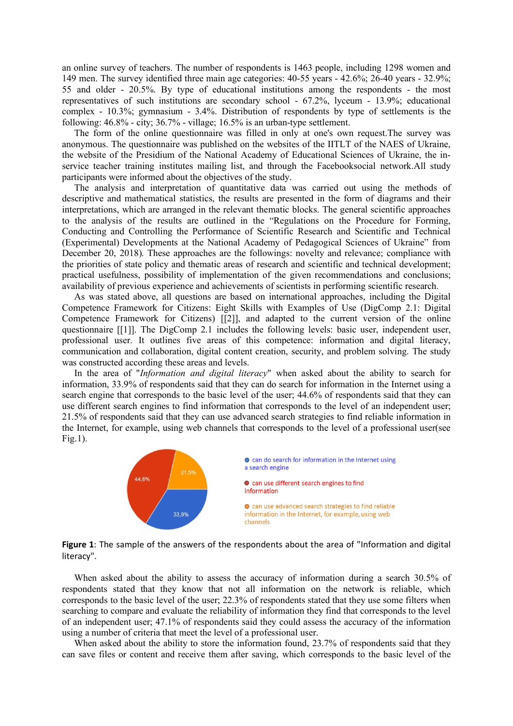an online survey of teachers. The number of respondents is 1463 people, including 1298 women and 149 men. The survey identified three main age categories: 40-55 years - 42.6%; 26-40 years - 32.9%; 55 and older - 20.5%. By type of educational institutions among the respondents - the most representatives of such institutions are secondary school - 67.2%, lyceum - 13.9%; educational complex - 10.3%; gymnasium - 3.4%. Distribution of respondents by type of settlements is the following: 46.8% - city; 36.7% - village; 16.5% is an urban-type settlement.

The form of the online questionnaire was filled in only at one's own request.The survey was anonymous. The questionnaire was published on the websites of the IITLT of the NAES of Ukraine, the website of the Presidium of the National Academy of Educational Sciences of Ukraine, the inservice teacher training institutes mailing list, and through the Facebooksocial network.All study participants were informed about the objectives of the study.

The analysis and interpretation of quantitative data was carried out using the methods of descriptive and mathematical statistics, the results are presented in the form of diagrams and their interpretations, which are arranged in the relevant thematic blocks. The general scientific approaches to the analysis of the results are outlined in the "Regulations on the Procedure for Forming, Conducting and Controlling the Performance of Scientific Research and Scientific and Technical (Experimental) Developments at the National Academy of Pedagogical Sciences of Ukraine" from December 20, 2018). These approaches are the followings: novelty and relevance; compliance with the priorities of state policy and thematic areas of research and scientific and technical development; practical usefulness, possibility of implementation of the given recommendations and conclusions; availability of previous experience and achievements of scientists in performing scientific research.

As was stated above, all questions are based on international approaches, including the Digital Competence Framework for Citizens: Eight Skills with Examples of Use (DigComp 2.1: Digital Competence Framework for Citizens) [[2]], and adapted to the current version of the online questionnaire [[1]]. The DigComp 2.1 includes the following levels: basic user, independent user, professional user. It outlines five areas of this competence: information and digital literacy, communication and collaboration, digital content creation, security, and problem solving. The study was constructed according these areas and levels.

In the area of "*Information and digital literacy*" when asked about the ability to search for information, 33.9% of respondents said that they can do search for information in the Internet using a search engine that corresponds to the basic level of the user; 44.6% of respondents said that they can use different search engines to find information that corresponds to the level of an independent user; 21.5% of respondents said that they can use advanced search strategies to find reliable information in the Internet, for example, using web channels that corresponds to the level of a professional user(see Fig.1).



Figure 1: The sample of the answers of the respondents about the area of "Information and digital literacy".

When asked about the ability to assess the accuracy of information during a search 30.5% of respondents stated that they know that not all information on the network is reliable, which corresponds to the basic level of the user; 22.3% of respondents stated that they use some filters when searching to compare and evaluate the reliability of information they find that corresponds to the level of an independent user; 47.1% of respondents said they could assess the accuracy of the information using a number of criteria that meet the level of a professional user.

When asked about the ability to store the information found, 23.7% of respondents said that they can save files or content and receive them after saving, which corresponds to the basic level of the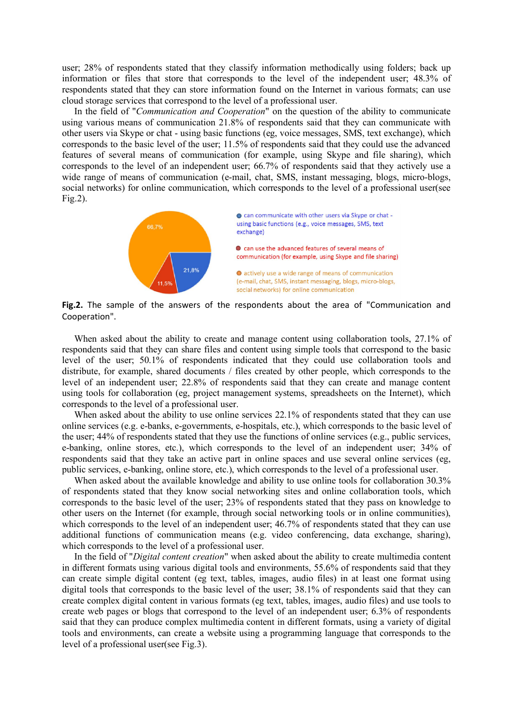user; 28% of respondents stated that they classify information methodically using folders; back up information or files that store that corresponds to the level of the independent user; 48.3% of respondents stated that they can store information found on the Internet in various formats; can use cloud storage services that correspond to the level of a professional user.

In the field of "*Communication and Cooperation*" on the question of the ability to communicate using various means of communication 21.8% of respondents said that they can communicate with other users via Skype or chat - using basic functions (eg, voice messages, SMS, text exchange), which corresponds to the basic level of the user; 11.5% of respondents said that they could use the advanced features of several means of communication (for example, using Skype and file sharing), which corresponds to the level of an independent user; 66.7% of respondents said that they actively use a wide range of means of communication (e-mail, chat, SMS, instant messaging, blogs, micro-blogs, social networks) for online communication, which corresponds to the level of a professional user(see Fig.2).



Fig.2. The sample of the answers of the respondents about the area of "Communication and Cooperation".

When asked about the ability to create and manage content using collaboration tools, 27.1% of respondents said that they can share files and content using simple tools that correspond to the basic level of the user; 50.1% of respondents indicated that they could use collaboration tools and distribute, for example, shared documents / files created by other people, which corresponds to the level of an independent user; 22.8% of respondents said that they can create and manage content using tools for collaboration (eg, project management systems, spreadsheets on the Internet), which corresponds to the level of a professional user.

When asked about the ability to use online services 22.1% of respondents stated that they can use online services (e.g. e-banks, e-governments, e-hospitals, etc.), which corresponds to the basic level of the user; 44% of respondents stated that they use the functions of online services (e.g., public services, e-banking, online stores, etc.), which corresponds to the level of an independent user; 34% of respondents said that they take an active part in online spaces and use several online services (eg, public services, e-banking, online store, etc.), which corresponds to the level of a professional user.

When asked about the available knowledge and ability to use online tools for collaboration 30.3% of respondents stated that they know social networking sites and online collaboration tools, which corresponds to the basic level of the user; 23% of respondents stated that they pass on knowledge to other users on the Internet (for example, through social networking tools or in online communities), which corresponds to the level of an independent user; 46.7% of respondents stated that they can use additional functions of communication means (e.g. video conferencing, data exchange, sharing), which corresponds to the level of a professional user.

In the field of "*Digital content creation*" when asked about the ability to create multimedia content in different formats using various digital tools and environments, 55.6% of respondents said that they can create simple digital content (eg text, tables, images, audio files) in at least one format using digital tools that corresponds to the basic level of the user; 38.1% of respondents said that they can create complex digital content in various formats (eg text, tables, images, audio files) and use tools to create web pages or blogs that correspond to the level of an independent user; 6.3% of respondents said that they can produce complex multimedia content in different formats, using a variety of digital tools and environments, can create a website using a programming language that corresponds to the level of a professional user(see Fig.3).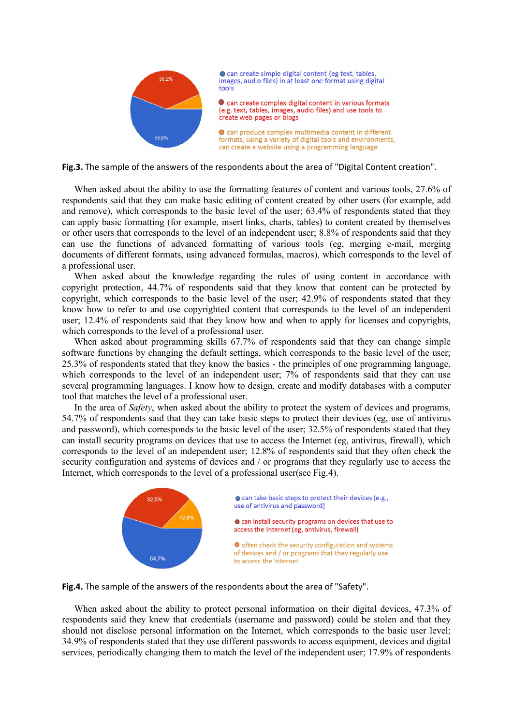

● can create simple digital content (eg text, tables, images, audio files) in at least one format using digital tools

Can create complex digital content in various formats (e.g. text, tables, images, audio files) and use tools to create web pages or blogs

● can produce complex multimedia content in different formats, using a variety of digital tools and environments, can create a website using a programming language

Fig.3. The sample of the answers of the respondents about the area of "Digital Content creation".

When asked about the ability to use the formatting features of content and various tools, 27.6% of respondents said that they can make basic editing of content created by other users (for example, add and remove), which corresponds to the basic level of the user; 63.4% of respondents stated that they can apply basic formatting (for example, insert links, charts, tables) to content created by themselves or other users that corresponds to the level of an independent user; 8.8% of respondents said that they can use the functions of advanced formatting of various tools (eg, merging e-mail, merging documents of different formats, using advanced formulas, macros), which corresponds to the level of a professional user.

When asked about the knowledge regarding the rules of using content in accordance with copyright protection, 44.7% of respondents said that they know that content can be protected by copyright, which corresponds to the basic level of the user; 42.9% of respondents stated that they know how to refer to and use copyrighted content that corresponds to the level of an independent user; 12.4% of respondents said that they know how and when to apply for licenses and copyrights, which corresponds to the level of a professional user.

When asked about programming skills 67.7% of respondents said that they can change simple software functions by changing the default settings, which corresponds to the basic level of the user; 25.3% of respondents stated that they know the basics - the principles of one programming language, which corresponds to the level of an independent user; 7% of respondents said that they can use several programming languages. I know how to design, create and modify databases with a computer tool that matches the level of a professional user.

In the area of *Safety*, when asked about the ability to protect the system of devices and programs, 54.7% of respondents said that they can take basic steps to protect their devices (eg, use of antivirus and password), which corresponds to the basic level of the user; 32.5% of respondents stated that they can install security programs on devices that use to access the Internet (eg, antivirus, firewall), which corresponds to the level of an independent user; 12.8% of respondents said that they often check the security configuration and systems of devices and / or programs that they regularly use to access the Internet, which corresponds to the level of a professional user(see Fig.4).





When asked about the ability to protect personal information on their digital devices, 47.3% of respondents said they knew that credentials (username and password) could be stolen and that they should not disclose personal information on the Internet, which corresponds to the basic user level; 34.9% of respondents stated that they use different passwords to access equipment, devices and digital services, periodically changing them to match the level of the independent user; 17.9% of respondents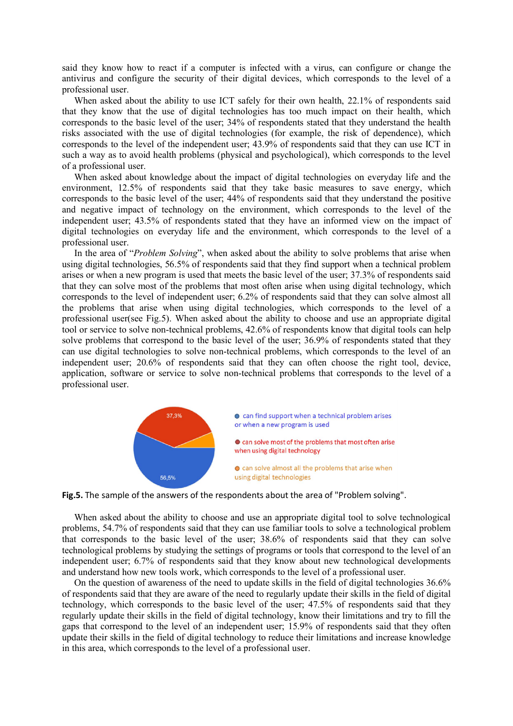said they know how to react if a computer is infected with a virus, can configure or change the antivirus and configure the security of their digital devices, which corresponds to the level of a professional user.

When asked about the ability to use ICT safely for their own health, 22.1% of respondents said that they know that the use of digital technologies has too much impact on their health, which corresponds to the basic level of the user; 34% of respondents stated that they understand the health risks associated with the use of digital technologies (for example, the risk of dependence), which corresponds to the level of the independent user; 43.9% of respondents said that they can use ICT in such a way as to avoid health problems (physical and psychological), which corresponds to the level of a professional user.

When asked about knowledge about the impact of digital technologies on everyday life and the environment, 12.5% of respondents said that they take basic measures to save energy, which corresponds to the basic level of the user; 44% of respondents said that they understand the positive and negative impact of technology on the environment, which corresponds to the level of the independent user; 43.5% of respondents stated that they have an informed view on the impact of digital technologies on everyday life and the environment, which corresponds to the level of a professional user.

In the area of "*Problem Solving*", when asked about the ability to solve problems that arise when using digital technologies, 56.5% of respondents said that they find support when a technical problem arises or when a new program is used that meets the basic level of the user; 37.3% of respondents said that they can solve most of the problems that most often arise when using digital technology, which corresponds to the level of independent user; 6.2% of respondents said that they can solve almost all the problems that arise when using digital technologies, which corresponds to the level of a professional user(see Fig.5). When asked about the ability to choose and use an appropriate digital tool or service to solve non-technical problems, 42.6% of respondents know that digital tools can help solve problems that correspond to the basic level of the user; 36.9% of respondents stated that they can use digital technologies to solve non-technical problems, which corresponds to the level of an independent user; 20.6% of respondents said that they can often choose the right tool, device, application, software or service to solve non-technical problems that corresponds to the level of a professional user.



Fig.5. The sample of the answers of the respondents about the area of "Problem solving".

When asked about the ability to choose and use an appropriate digital tool to solve technological problems, 54.7% of respondents said that they can use familiar tools to solve a technological problem that corresponds to the basic level of the user; 38.6% of respondents said that they can solve technological problems by studying the settings of programs or tools that correspond to the level of an independent user; 6.7% of respondents said that they know about new technological developments and understand how new tools work, which corresponds to the level of a professional user.

On the question of awareness of the need to update skills in the field of digital technologies 36.6% of respondents said that they are aware of the need to regularly update their skills in the field of digital technology, which corresponds to the basic level of the user; 47.5% of respondents said that they regularly update their skills in the field of digital technology, know their limitations and try to fill the gaps that correspond to the level of an independent user; 15.9% of respondents said that they often update their skills in the field of digital technology to reduce their limitations and increase knowledge in this area, which corresponds to the level of a professional user.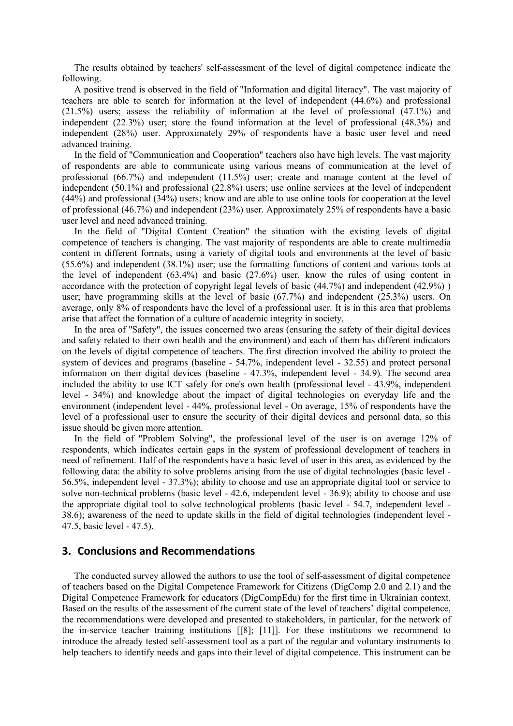The results obtained by teachers' self-assessment of the level of digital competence indicate the following.

A positive trend is observed in the field of "Information and digital literacy". The vast majority of teachers are able to search for information at the level of independent (44.6%) and professional (21.5%) users; assess the reliability of information at the level of professional (47.1%) and independent (22.3%) user; store the found information at the level of professional (48.3%) and independent (28%) user. Approximately 29% of respondents have a basic user level and need advanced training.

In the field of "Communication and Cooperation" teachers also have high levels. The vast majority of respondents are able to communicate using various means of communication at the level of professional (66.7%) and independent (11.5%) user; create and manage content at the level of independent (50.1%) and professional (22.8%) users; use online services at the level of independent (44%) and professional (34%) users; know and are able to use online tools for cooperation at the level of professional (46.7%) and independent (23%) user. Approximately 25% of respondents have a basic user level and need advanced training.

In the field of "Digital Content Creation" the situation with the existing levels of digital competence of teachers is changing. The vast majority of respondents are able to create multimedia content in different formats, using a variety of digital tools and environments at the level of basic (55.6%) and independent (38.1%) user; use the formatting functions of content and various tools at the level of independent (63.4%) and basic (27.6%) user, know the rules of using content in accordance with the protection of copyright legal levels of basic (44.7%) and independent (42.9%) ) user; have programming skills at the level of basic (67.7%) and independent (25.3%) users. On average, only 8% of respondents have the level of a professional user. It is in this area that problems arise that affect the formation of a culture of academic integrity in society.

In the area of "Safety", the issues concerned two areas (ensuring the safety of their digital devices and safety related to their own health and the environment) and each of them has different indicators on the levels of digital competence of teachers. The first direction involved the ability to protect the system of devices and programs (baseline - 54.7%, independent level - 32.55) and protect personal information on their digital devices (baseline - 47.3%, independent level - 34.9). The second area included the ability to use ICT safely for one's own health (professional level - 43.9%, independent level - 34%) and knowledge about the impact of digital technologies on everyday life and the environment (independent level - 44%, professional level - On average, 15% of respondents have the level of a professional user to ensure the security of their digital devices and personal data, so this issue should be given more attention.

In the field of "Problem Solving", the professional level of the user is on average 12% of respondents, which indicates certain gaps in the system of professional development of teachers in need of refinement. Half of the respondents have a basic level of user in this area, as evidenced by the following data: the ability to solve problems arising from the use of digital technologies (basic level - 56.5%, independent level - 37.3%); ability to choose and use an appropriate digital tool or service to solve non-technical problems (basic level - 42.6, independent level - 36.9); ability to choose and use the appropriate digital tool to solve technological problems (basic level - 54.7, independent level - 38.6); awareness of the need to update skills in the field of digital technologies (independent level - 47.5, basic level - 47.5).

#### 3. Conclusions and Recommendations

The conducted survey allowed the authors to use the tool of self-assessment of digital competence of teachers based on the Digital Competence Framework for Citizens (DigComp 2.0 and 2.1) and the Digital Competence Framework for educators (DigCompEdu) for the first time in Ukrainian context. Based on the results of the assessment of the current state of the level of teachers' digital competence, the recommendations were developed and presented to stakeholders, in particular, for the network of the in-service teacher training institutions [[8]; [11]]. For these institutions we recommend to introduce the already tested self-assessment tool as a part of the regular and voluntary instruments to help teachers to identify needs and gaps into their level of digital competence. This instrument can be